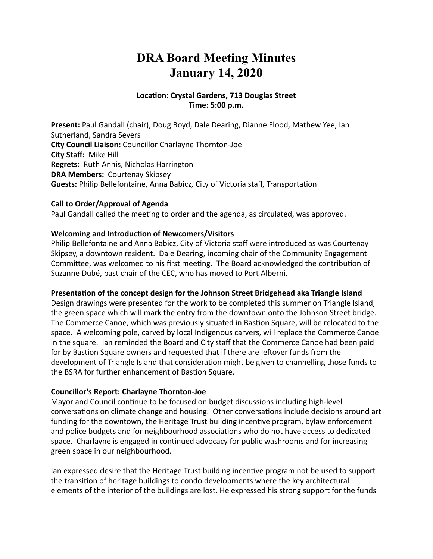# **DRA Board Meeting Minutes January 14, 2020**

#### Location: Crystal Gardens, 713 Douglas Street **Time: 5:00 p.m.**

**Present:** Paul Gandall (chair), Doug Boyd, Dale Dearing, Dianne Flood, Mathew Yee, Ian Sutherland, Sandra Severs **City Council Liaison:** Councillor Charlayne Thornton-Joe **City Staff: Mike Hill Regrets:** Ruth Annis, Nicholas Harrington **DRA Members: Courtenay Skipsey Guests:** Philip Bellefontaine, Anna Babicz, City of Victoria staff, Transportation

#### **Call to Order/Approval of Agenda**

Paul Gandall called the meeting to order and the agenda, as circulated, was approved.

#### **Welcoming and Introduction of Newcomers/Visitors**

Philip Bellefontaine and Anna Babicz, City of Victoria staff were introduced as was Courtenay Skipsey, a downtown resident. Dale Dearing, incoming chair of the Community Engagement Committee, was welcomed to his first meeting. The Board acknowledged the contribution of Suzanne Dubé, past chair of the CEC, who has moved to Port Alberni.

#### Presentation of the concept design for the Johnson Street Bridgehead aka Triangle Island

Design drawings were presented for the work to be completed this summer on Triangle Island, the green space which will mark the entry from the downtown onto the Johnson Street bridge. The Commerce Canoe, which was previously situated in Bastion Square, will be relocated to the space. A welcoming pole, carved by local Indigenous carvers, will replace the Commerce Canoe in the square. Ian reminded the Board and City staff that the Commerce Canoe had been paid for by Bastion Square owners and requested that if there are leftover funds from the development of Triangle Island that consideration might be given to channelling those funds to the BSRA for further enhancement of Bastion Square.

#### **Councillor's Report: Charlayne Thornton-Joe**

Mayor and Council continue to be focused on budget discussions including high-level conversations on climate change and housing. Other conversations include decisions around art funding for the downtown, the Heritage Trust building incentive program, bylaw enforcement and police budgets and for neighbourhood associations who do not have access to dedicated space. Charlayne is engaged in continued advocacy for public washrooms and for increasing green space in our neighbourhood.

Ian expressed desire that the Heritage Trust building incentive program not be used to support the transition of heritage buildings to condo developments where the key architectural elements of the interior of the buildings are lost. He expressed his strong support for the funds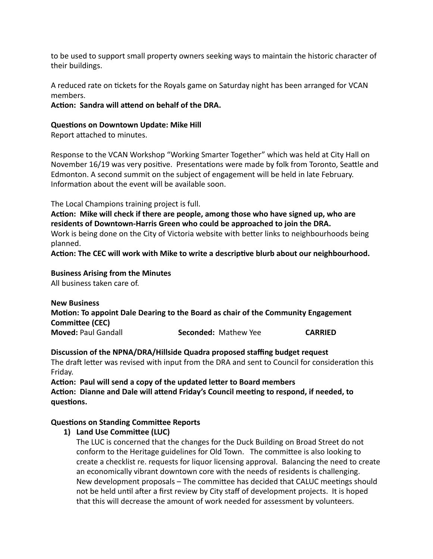to be used to support small property owners seeking ways to maintain the historic character of their buildings.

A reduced rate on tickets for the Royals game on Saturday night has been arranged for VCAN members. 

Action: Sandra will attend on behalf of the DRA.

#### **Questions on Downtown Update: Mike Hill**

Report attached to minutes.

Response to the VCAN Workshop "Working Smarter Together" which was held at City Hall on November 16/19 was very positive. Presentations were made by folk from Toronto, Seattle and Edmonton. A second summit on the subject of engagement will be held in late February. Information about the event will be available soon.

The Local Champions training project is full.

Action: Mike will check if there are people, among those who have signed up, who are residents of Downtown-Harris Green who could be approached to join the DRA. Work is being done on the City of Victoria website with better links to neighbourhoods being planned. 

Action: The CEC will work with Mike to write a descriptive blurb about our neighbourhood.

#### **Business Arising from the Minutes**

All business taken care of.

**New Business Motion: To appoint Dale Dearing to the Board as chair of the Community Engagement Committee (CEC) Moved:** Paul Gandall *Seconded:* Mathew Yee **CARRIED** 

#### Discussion of the NPNA/DRA/Hillside Quadra proposed staffing budget request

The draft letter was revised with input from the DRA and sent to Council for consideration this Friday. 

Action: Paul will send a copy of the updated letter to Board members Action: Dianne and Dale will attend Friday's Council meeting to respond, if needed, to **guestions.** 

#### **Questions on Standing Committee Reports**

#### **1)** Land Use Committee (LUC)

The LUC is concerned that the changes for the Duck Building on Broad Street do not conform to the Heritage guidelines for Old Town. The committee is also looking to create a checklist re. requests for liquor licensing approval. Balancing the need to create an economically vibrant downtown core with the needs of residents is challenging. New development proposals – The committee has decided that CALUC meetings should not be held until after a first review by City staff of development projects. It is hoped that this will decrease the amount of work needed for assessment by volunteers.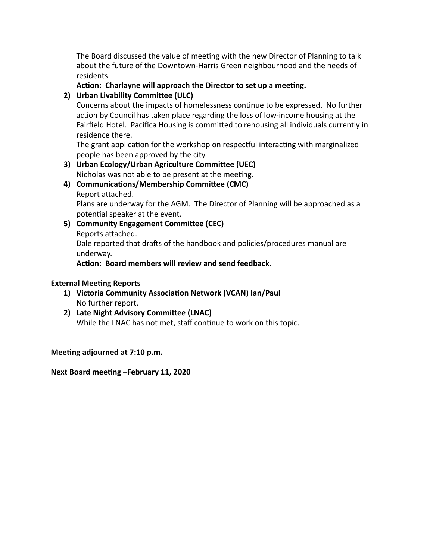The Board discussed the value of meeting with the new Director of Planning to talk about the future of the Downtown-Harris Green neighbourhood and the needs of residents. 

#### Action: Charlayne will approach the Director to set up a meeting.

## **2)** Urban Livability Committee (ULC)

Concerns about the impacts of homelessness continue to be expressed. No further action by Council has taken place regarding the loss of low-income housing at the Fairfield Hotel. Pacifica Housing is committed to rehousing all individuals currently in residence there.

The grant application for the workshop on respectful interacting with marginalized people has been approved by the city.

#### **3)** Urban Ecology/Urban Agriculture Committee (UEC) Nicholas was not able to be present at the meeting.

- 4) Communications/Membership Committee (CMC)
	- Report attached.

Plans are underway for the AGM. The Director of Planning will be approached as a potential speaker at the event.

**5) Community Engagement Committee (CEC)** Reports attached.

Dale reported that drafts of the handbook and policies/procedures manual are underway. 

Action: Board members will review and send feedback.

## **External Meeting Reports**

- 1) Victoria Community Association Network (VCAN) lan/Paul No further report.
- **2)** Late Night Advisory Committee (LNAC) While the LNAC has not met, staff continue to work on this topic.

Meeting adjourned at 7:10 p.m.

Next Board meeting -February 11, 2020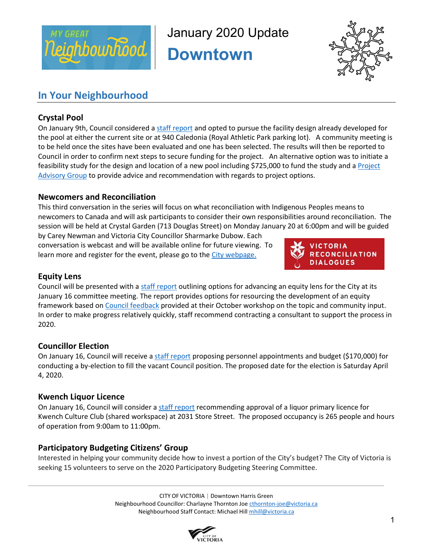

January 2020 Update

**Downtown** 



## **In Your Neighbourhood**

## **Crystal Pool**

On January 9th, Council considered [a staff report](https://pub-victoria.escribemeetings.com/filestream.ashx?DocumentId=48812) and opted to pursue the facility design already developed for the pool at either the current site or at 940 Caledonia (Royal Athletic Park parking lot). A community meeting is to be held once the sites have been evaluated and one has been selected. The results will then be reported to Council in order to confirm next steps to secure funding for the project. An alternative option was to initiate a feasibility study for the design and location of a new pool including \$725,000 to fund the study and a Project [Advisory Group](https://pub-victoria.escribemeetings.com/filestream.ashx?DocumentId=48813) to provide advice and recommendation with regards to project options.

### **Newcomers and Reconciliation**

This third conversation in the series will focus on what reconciliation with Indigenous Peoples means to newcomers to Canada and will ask participants to consider their own responsibilities around reconciliation. The session will be held at Crystal Garden (713 Douglas Street) on Monday January 20 at 6:00pm and will be guided

by Carey Newman and Victoria City Councillor Sharmarke Dubow. Each conversation is webcast and will be available online for future viewing. To learn more and register for the event, please go to the [City webpage.](https://www.victoria.ca/EN/main/city/witness-reconciliation-program/victoria-reconciliation-dialogues.html)



## **Equity Lens**

Council will be presented with a [staff report](https://pub-victoria.escribemeetings.com/filestream.ashx?DocumentId=49160) outlining options for advancing an equity lens for the City at its January 16 committee meeting. The report provides options for resourcing the development of an equity framework based o[n Council feedback](https://pub-victoria.escribemeetings.com/filestream.ashx?DocumentId=49161) provided at their October workshop on the topic and community input. In order to make progress relatively quickly, staff recommend contracting a consultant to support the process in 2020.

## **Councillor Election**

On January 16, Council will receive [a staff report](https://pub-victoria.escribemeetings.com/filestream.ashx?DocumentId=49156) proposing personnel appointments and budget (\$170,000) for conducting a by-election to fill the vacant Council position. The proposed date for the election is Saturday April 4, 2020.

#### **Kwench Liquor Licence**

On January 16, Council will consider [a staff report](https://pub-victoria.escribemeetings.com/filestream.ashx?DocumentId=49132) recommending approval of a liquor primary licence for Kwench Culture Club (shared workspace) at 2031 Store Street. The proposed occupancy is 265 people and hours of operation from 9:00am to 11:00pm.

## **Participatory Budgeting Citizens' Group**

Interested in helping your community decide how to invest a portion of the City's budget? The City of Victoria is seeking 15 volunteers to serve on the 2020 Participatory Budgeting Steering Committee.

> CITY OF VICTORIA | Downtown Harris Green Neighbourhood Councillor: Charlayne Thornton Joe [cthornton-joe@victoria.ca](mailto:cthornton-joe@victoria.ca) Neighbourhood Staff Contact: Michael Hil[l mhill@victoria.ca](mailto:mhill@victoria.ca)

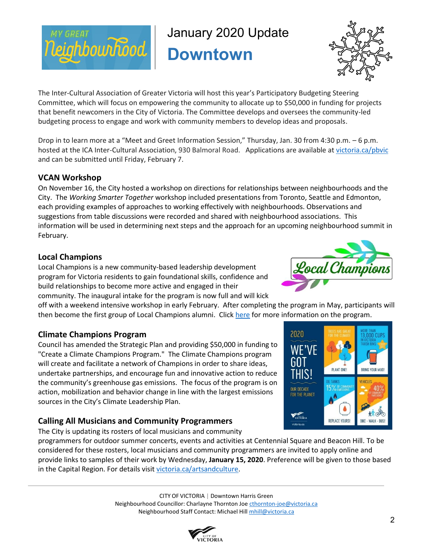

January 2020 Update

**Downtown** 



The Inter-Cultural Association of Greater Victoria will host this year's Participatory Budgeting Steering Committee, which will focus on empowering the community to allocate up to \$50,000 in funding for projects that benefit newcomers in the City of Victoria. The Committee develops and oversees the community-led budgeting process to engage and work with community members to develop ideas and proposals.

Drop in to learn more at a "Meet and Greet Information Session," Thursday, Jan. 30 from 4:30 p.m. – 6 p.m. hosted at the ICA Inter-Cultural Association, 930 Balmoral Road. Applications are available at [victoria.ca/pbvic](https://can01.safelinks.protection.outlook.com/?url=https%3A%2F%2Fwww.victoria.ca%2FEN%2Fmain%2Fcity%2Fcurrent-initiatives%2Fparticipatory-budgeting.html&data=02%7C01%7Cmhill%40victoria.ca%7C009af927a5cd4582a8b408d793a08b37%7Cd7098116c6e84d2a89eedb15b6c23375%7C0%7C0%7C637140190094326185&sdata=72lNsnBClfDh6tJ5E3Rgt8%2Fn01Cdvy0RYWfNPyb2Sos%3D&reserved=0) and can be submitted until Friday, February 7.

### **VCAN Workshop**

On November 16, the City hosted a workshop on directions for relationships between neighbourhoods and the City. The *Working Smarter Together* workshop included presentations from Toronto, Seattle and Edmonton, each providing examples of approaches to working effectively with neighbourhoods. Observations and suggestions from table discussions were recorded and shared with neighbourhood associations. This information will be used in determining next steps and the approach for an upcoming neighbourhood summit in February.

#### **Local Champions**

Local Champions is a new community-based leadership development program for Victoria residents to gain foundational skills, confidence and build relationships to become more active and engaged in their community. The inaugural intake for the program is now full and will kick

off with a weekend intensive workshop in early February. After completing the program in May, participants will then become the first group of Local Champions alumni. Click [here](https://www.victoria.ca/EN/main/residents/Neighbourhoods/tools-and-resources.html) for more information on the program.

#### **Climate Champions Program**

Council has amended the Strategic Plan and providing \$50,000 in funding to "Create a Climate Champions Program." The Climate Champions program will create and facilitate a network of Champions in order to share ideas, undertake partnerships, and encourage fun and innovative action to reduce the community's greenhouse gas emissions. The focus of the program is on action, mobilization and behavior change in line with the largest emissions sources in the City's Climate Leadership Plan.

## **Calling All Musicians and Community Programmers**

The City is updating its rosters of local musicians and community

programmers for outdoor summer concerts, events and activities at Centennial Square and Beacon Hill. To be considered for these rosters, local musicians and community programmers are invited to apply online and provide links to samples of their work by Wednesday, **January 15, 2020**. Preference will be given to those based in the Capital Region. For details visit [victoria.ca/artsandculture.](https://can01.safelinks.protection.outlook.com/?url=https%3A%2F%2Fwww.victoria.ca%2FEN%2Fmain%2Fresidents%2Fculture%2Froster-of-musicians-and-community-programmers.html&data=02%7C01%7Ckstratford%40victoria.ca%7Cf006e67b40ee46eb717f08d77ff6774c%7Cd7098116c6e84d2a89eedb15b6c23375%7C0%7C0%7C637118568900202706&sdata=fObGd0jTc8BT55IAfJumDTMgITglvRoXUJOsyhgDH%2Bo%3D&reserved=0)

> CITY OF VICTORIA | Downtown Harris Green Neighbourhood Councillor: Charlayne Thornton Joe [cthornton-joe@victoria.ca](mailto:cthornton-joe@victoria.ca) Neighbourhood Staff Contact: Michael Hil[l mhill@victoria.ca](mailto:mhill@victoria.ca)





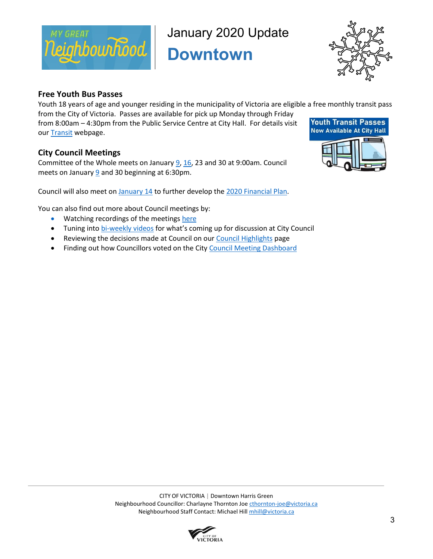

January 2020 Update

**Downtown** 



#### **Free Youth Bus Passes**

Youth 18 years of age and younger residing in the municipality of Victoria are eligible a free monthly transit pass from the City of Victoria. Passes are available for pick up Monday through Friday

from 8:00am – 4:30pm from the Public Service Centre at City Hall. For details visit our **Transit** webpage.

## **City Council Meetings**

Committee of the Whole meets on January  $9, 16, 23$  $9, 16, 23$  $9, 16, 23$  and 30 at 9:00am. Council meets on January [9](https://pub-victoria.escribemeetings.com/Meeting.aspx?Id=7132b4fc-bbf6-4edd-aabb-a847e2aaf328&Agenda=Agenda&lang=English) and 30 beginning at 6:30pm.

Council will also meet o[n January 14](https://pub-victoria.escribemeetings.com/Meeting.aspx?Id=4cd7c196-c281-4e00-92bb-9db1de75cba2&Agenda=Agenda&lang=English&Item=11) to further develop the [2020 Financial Plan.](https://www.victoria.ca/assets/Departments/Finance/Documents/Draft_2020_Financial_Plan.pdf)

You can also find out more about Council meetings by:

- Watching recordings of the meetings [here](https://www.victoria.ca/EN/main/city/mayor-council-committees/council-committee-meetings.html)
- Tuning into [bi-weekly videos](https://www.youtube.com/watch?v=vdubuxFI39U&feature=emb_logo) for what's coming up for discussion at City Council
- Reviewing the decisions made at Council on our [Council Highlights](https://www.victoria.ca/EN/main/city/mayor-council-committees/council-highlights.html) page
- Finding out how Councillors voted on the Cit[y Council Meeting Dashboard](https://app.powerbi.com/view?r=eyJrIjoiNzRkZWY2YmMtMjNjNS00NGEyLTg5Y2ItZTQxMGY4NDhjNjNlIiwidCI6ImQ3MDk4MTE2LWM2ZTgtNGQyYS04OWVlLWRiMTViNmMyMzM3NSJ9)



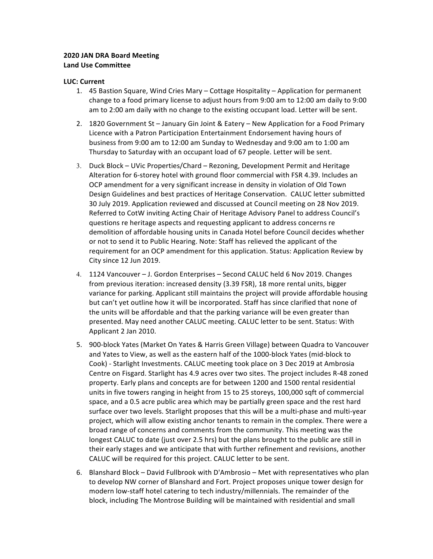#### **2020 JAN DRA Board Meeting Land Use Committee**

#### **LUC: Current**

- 1. 45 Bastion Square, Wind Cries Mary Cottage Hospitality Application for permanent change to a food primary license to adjust hours from 9:00 am to 12:00 am daily to 9:00 am to 2:00 am daily with no change to the existing occupant load. Letter will be sent.
- 2. 1820 Government St January Gin Joint & Eatery New Application for a Food Primary Licence with a Patron Participation Entertainment Endorsement having hours of business from 9:00 am to 12:00 am Sunday to Wednesday and 9:00 am to 1:00 am Thursday to Saturday with an occupant load of 67 people. Letter will be sent.
- 3. Duck Block UVic Properties/Chard Rezoning, Development Permit and Heritage Alteration for 6-storey hotel with ground floor commercial with FSR 4.39. Includes an OCP amendment for a very significant increase in density in violation of Old Town Design Guidelines and best practices of Heritage Conservation. CALUC letter submitted 30 July 2019. Application reviewed and discussed at Council meeting on 28 Nov 2019. Referred to CotW inviting Acting Chair of Heritage Advisory Panel to address Council's questions re heritage aspects and requesting applicant to address concerns re demolition of affordable housing units in Canada Hotel before Council decides whether or not to send it to Public Hearing. Note: Staff has relieved the applicant of the requirement for an OCP amendment for this application. Status: Application Review by City since 12 Jun 2019.
- 4. 1124 Vancouver J. Gordon Enterprises Second CALUC held 6 Nov 2019. Changes from previous iteration: increased density (3.39 FSR), 18 more rental units, bigger variance for parking. Applicant still maintains the project will provide affordable housing but can't yet outline how it will be incorporated. Staff has since clarified that none of the units will be affordable and that the parking variance will be even greater than presented. May need another CALUC meeting. CALUC letter to be sent. Status: With Applicant 2 Jan 2010.
- 5. 900-block Yates (Market On Yates & Harris Green Village) between Quadra to Vancouver and Yates to View, as well as the eastern half of the 1000-block Yates (mid-block to Cook) - Starlight Investments. CALUC meeting took place on 3 Dec 2019 at Ambrosia Centre on Fisgard. Starlight has 4.9 acres over two sites. The project includes R-48 zoned property. Early plans and concepts are for between 1200 and 1500 rental residential units in five towers ranging in height from 15 to 25 storeys, 100,000 sqft of commercial space, and a 0.5 acre public area which may be partially green space and the rest hard surface over two levels. Starlight proposes that this will be a multi-phase and multi-year project, which will allow existing anchor tenants to remain in the complex. There were a broad range of concerns and comments from the community. This meeting was the longest CALUC to date (just over 2.5 hrs) but the plans brought to the public are still in their early stages and we anticipate that with further refinement and revisions, another CALUC will be required for this project. CALUC letter to be sent.
- 6. Blanshard Block David Fullbrook with D'Ambrosio Met with representatives who plan to develop NW corner of Blanshard and Fort. Project proposes unique tower design for modern low-staff hotel catering to tech industry/millennials. The remainder of the block, including The Montrose Building will be maintained with residential and small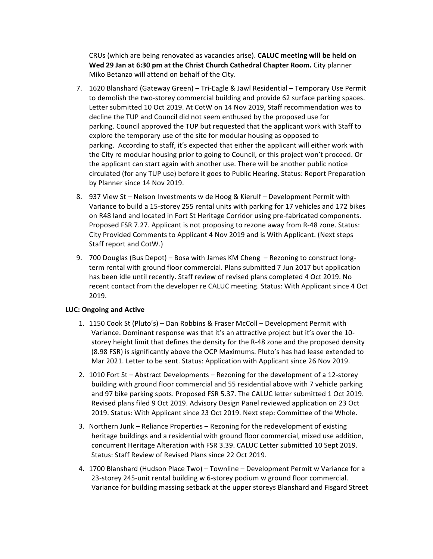CRUs (which are being renovated as vacancies arise). **CALUC meeting will be held on Wed 29 Jan at 6:30 pm at the Christ Church Cathedral Chapter Room.** City planner Miko Betanzo will attend on behalf of the City.

- 7. 1620 Blanshard (Gateway Green) Tri-Eagle & Jawl Residential Temporary Use Permit to demolish the two-storey commercial building and provide 62 surface parking spaces. Letter submitted 10 Oct 2019. At CotW on 14 Nov 2019, Staff recommendation was to decline the TUP and Council did not seem enthused by the proposed use for parking. Council approved the TUP but requested that the applicant work with Staff to explore the temporary use of the site for modular housing as opposed to parking. According to staff, it's expected that either the applicant will either work with the City re modular housing prior to going to Council, or this project won't proceed. Or the applicant can start again with another use. There will be another public notice circulated (for any TUP use) before it goes to Public Hearing. Status: Report Preparation by Planner since 14 Nov 2019.
- 8. 937 View St Nelson Investments w de Hoog & Kierulf Development Permit with Variance to build a 15-storey 255 rental units with parking for 17 vehicles and 172 bikes on R48 land and located in Fort St Heritage Corridor using pre-fabricated components. Proposed FSR 7.27. Applicant is not proposing to rezone away from R-48 zone. Status: City Provided Comments to Applicant 4 Nov 2019 and is With Applicant. (Next steps Staff report and CotW.)
- 9. 700 Douglas (Bus Depot) Bosa with James KM Cheng Rezoning to construct longterm rental with ground floor commercial. Plans submitted 7 Jun 2017 but application has been idle until recently. Staff review of revised plans completed 4 Oct 2019. No recent contact from the developer re CALUC meeting. Status: With Applicant since 4 Oct 2019.

#### **LUC: Ongoing and Active**

- 1. 1150 Cook St (Pluto's) Dan Robbins & Fraser McColl Development Permit with Variance. Dominant response was that it's an attractive project but it's over the 10storey height limit that defines the density for the R-48 zone and the proposed density (8.98 FSR) is significantly above the OCP Maximums. Pluto's has had lease extended to Mar 2021. Letter to be sent. Status: Application with Applicant since 26 Nov 2019.
- 2. 1010 Fort St Abstract Developments Rezoning for the development of a 12-storey building with ground floor commercial and 55 residential above with 7 vehicle parking and 97 bike parking spots. Proposed FSR 5.37. The CALUC letter submitted 1 Oct 2019. Revised plans filed 9 Oct 2019. Advisory Design Panel reviewed application on 23 Oct 2019. Status: With Applicant since 23 Oct 2019. Next step: Committee of the Whole.
- 3. Northern Junk Reliance Properties Rezoning for the redevelopment of existing heritage buildings and a residential with ground floor commercial, mixed use addition, concurrent Heritage Alteration with FSR 3.39. CALUC Letter submitted 10 Sept 2019. Status: Staff Review of Revised Plans since 22 Oct 2019.
- 4. 1700 Blanshard (Hudson Place Two) Townline Development Permit w Variance for a 23-storey 245-unit rental building w 6-storey podium w ground floor commercial. Variance for building massing setback at the upper storeys Blanshard and Fisgard Street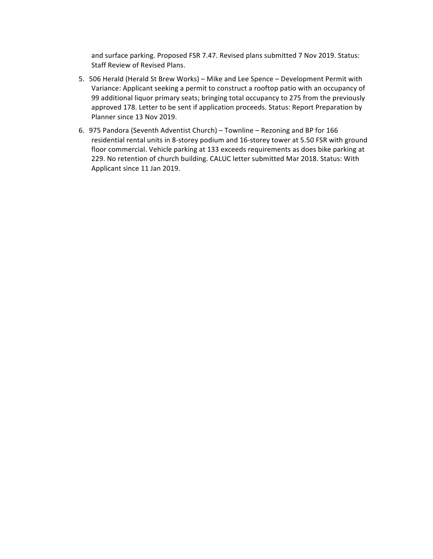and surface parking. Proposed FSR 7.47. Revised plans submitted 7 Nov 2019. Status: Staff Review of Revised Plans.

- 5. 506 Herald (Herald St Brew Works) Mike and Lee Spence Development Permit with Variance: Applicant seeking a permit to construct a rooftop patio with an occupancy of 99 additional liquor primary seats; bringing total occupancy to 275 from the previously approved 178. Letter to be sent if application proceeds. Status: Report Preparation by Planner since 13 Nov 2019.
- 6. 975 Pandora (Seventh Adventist Church) Townline Rezoning and BP for 166 residential rental units in 8-storey podium and 16-storey tower at 5.50 FSR with ground floor commercial. Vehicle parking at 133 exceeds requirements as does bike parking at 229. No retention of church building. CALUC letter submitted Mar 2018. Status: With Applicant since 11 Jan 2019.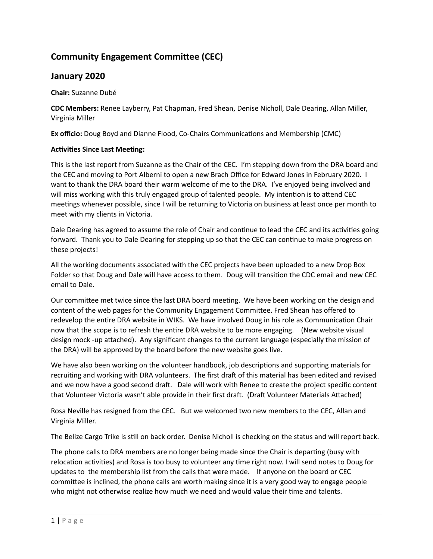## **Community Engagement Committee (CEC)**

## **January 2020**

**Chair:** Suzanne Dubé 

**CDC Members:** Renee Layberry, Pat Chapman, Fred Shean, Denise Nicholl, Dale Dearing, Allan Miller, Virginia Miller 

**Ex officio:** Doug Boyd and Dianne Flood, Co-Chairs Communications and Membership (CMC)

#### **Activities Since Last Meeting:**

This is the last report from Suzanne as the Chair of the CEC. I'm stepping down from the DRA board and the CEC and moving to Port Alberni to open a new Brach Office for Edward Jones in February 2020. I want to thank the DRA board their warm welcome of me to the DRA. I've enjoyed being involved and will miss working with this truly engaged group of talented people. My intention is to attend CEC meetings whenever possible, since I will be returning to Victoria on business at least once per month to meet with my clients in Victoria.

Dale Dearing has agreed to assume the role of Chair and continue to lead the CEC and its activities going forward. Thank you to Dale Dearing for stepping up so that the CEC can continue to make progress on these projects!

All the working documents associated with the CEC projects have been uploaded to a new Drop Box Folder so that Doug and Dale will have access to them. Doug will transition the CDC email and new CEC email to Dale.

Our committee met twice since the last DRA board meeting. We have been working on the design and content of the web pages for the Community Engagement Committee. Fred Shean has offered to redevelop the entire DRA website in WIKS. We have involved Doug in his role as Communication Chair now that the scope is to refresh the entire DRA website to be more engaging. (New website visual design mock -up attached). Any significant changes to the current language (especially the mission of the DRA) will be approved by the board before the new website goes live.

We have also been working on the volunteer handbook, job descriptions and supporting materials for recruiting and working with DRA volunteers. The first draft of this material has been edited and revised and we now have a good second draft. Dale will work with Renee to create the project specific content that Volunteer Victoria wasn't able provide in their first draft. (Draft Volunteer Materials Attached)

Rosa Neville has resigned from the CEC. But we welcomed two new members to the CEC, Allan and Virginia Miller. 

The Belize Cargo Trike is still on back order. Denise Nicholl is checking on the status and will report back.

The phone calls to DRA members are no longer being made since the Chair is departing (busy with relocation activities) and Rosa is too busy to volunteer any time right now. I will send notes to Doug for updates to the membership list from the calls that were made. If anyone on the board or CEC committee is inclined, the phone calls are worth making since it is a very good way to engage people who might not otherwise realize how much we need and would value their time and talents.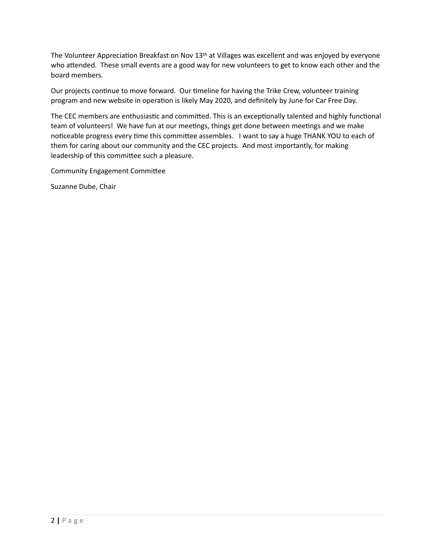The Volunteer Appreciation Breakfast on Nov  $13<sup>th</sup>$  at Villages was excellent and was enjoyed by everyone who attended. These small events are a good way for new volunteers to get to know each other and the board members.

Our projects continue to move forward. Our timeline for having the Trike Crew, volunteer training program and new website in operation is likely May 2020, and definitely by June for Car Free Day.

The CEC members are enthusiastic and committed. This is an exceptionally talented and highly functional team of volunteers! We have fun at our meetings, things get done between meetings and we make noticeable progress every time this committee assembles. I want to say a huge THANK YOU to each of them for caring about our community and the CEC projects. And most importantly, for making leadership of this committee such a pleasure.

Community Engagement Committee

Suzanne Dube, Chair